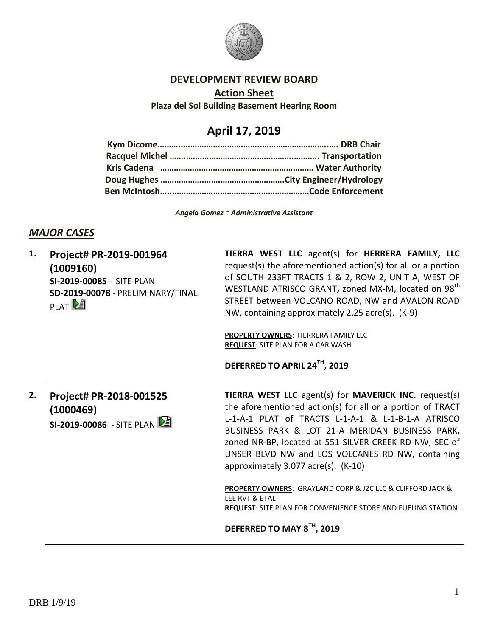

#### **DEVELOPMENT REVIEW BOARD**

**Action Sheet Plaza del Sol Building Basement Hearing Room**

# **April 17, 2019**

*Angela Gomez ~ Administrative Assistant*

#### *MAJOR CASES*

| 1. | Project# PR-2019-001964<br>(1009160)<br>SI-2019-00085 - SITE PLAN<br>SD-2019-00078 - PRELIMINARY/FINAL<br>PLAT <sup>D</sup> | TIERRA WEST LLC agent(s) for HERRERA FAMILY, LLC<br>request(s) the aforementioned action(s) for all or a portion<br>of SOUTH 233FT TRACTS 1 & 2, ROW 2, UNIT A, WEST OF<br>WESTLAND ATRISCO GRANT, zoned MX-M, located on 98 <sup>th</sup><br>STREET between VOLCANO ROAD, NW and AVALON ROAD<br>NW, containing approximately 2.25 acre(s). (K-9)<br><b>PROPERTY OWNERS: HERRERA FAMILY LLC</b><br><b>REQUEST: SITE PLAN FOR A CAR WASH</b><br>DEFERRED TO APRIL 24TH, 2019                                                                                                 |
|----|-----------------------------------------------------------------------------------------------------------------------------|-----------------------------------------------------------------------------------------------------------------------------------------------------------------------------------------------------------------------------------------------------------------------------------------------------------------------------------------------------------------------------------------------------------------------------------------------------------------------------------------------------------------------------------------------------------------------------|
| 2. | Project# PR-2018-001525<br>(1000469)<br>SI-2019-00086 - SITE PLAN                                                           | <b>TIERRA WEST LLC</b> agent(s) for <b>MAVERICK INC.</b> request(s)<br>the aforementioned action(s) for all or a portion of TRACT<br>L-1-A-1 PLAT of TRACTS L-1-A-1 & L-1-B-1-A ATRISCO<br>BUSINESS PARK & LOT 21-A MERIDAN BUSINESS PARK,<br>zoned NR-BP, located at 551 SILVER CREEK RD NW, SEC of<br>UNSER BLVD NW and LOS VOLCANES RD NW, containing<br>approximately $3.077$ acre(s). $(K-10)$<br>PROPERTY OWNERS: GRAYLAND CORP & J2C LLC & CLIFFORD JACK &<br>LEE RVT & ETAL<br><b>REQUEST: SITE PLAN FOR CONVENIENCE STORE AND FUELING STATION</b><br>. <b>. TH</b> |

**DEFERRED TO MAY 8TH, 2019**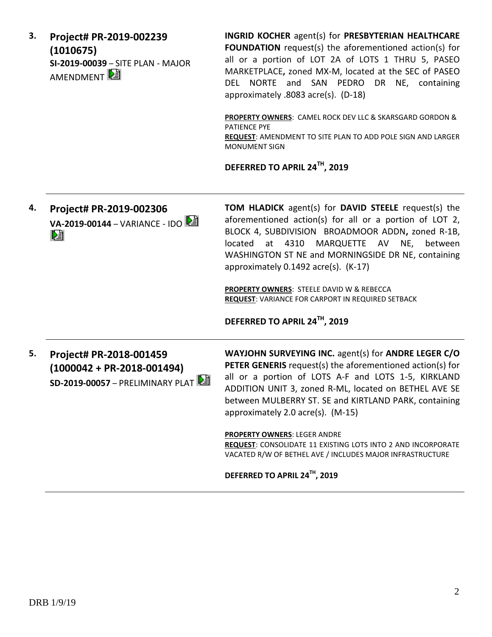| SI-2019-00039 - SITE PLAN - MAJOR<br>MARKETPLACE, zoned MX-M, located at the SEC of PASEO<br>DEL NORTE and SAN PEDRO DR NE, containing<br>approximately .8083 acre(s). (D-18)<br>PROPERTY OWNERS: CAMEL ROCK DEV LLC & SKARSGARD GORDON &<br><b>PATIENCE PYE</b><br>REQUEST: AMENDMENT TO SITE PLAN TO ADD POLE SIGN AND LARGER<br><b>MONUMENT SIGN</b><br>DEFERRED TO APRIL 24TH, 2019                                                                                                                                                                                                                  |
|----------------------------------------------------------------------------------------------------------------------------------------------------------------------------------------------------------------------------------------------------------------------------------------------------------------------------------------------------------------------------------------------------------------------------------------------------------------------------------------------------------------------------------------------------------------------------------------------------------|
| <b>TOM HLADICK</b> agent(s) for <b>DAVID STEELE</b> request(s) the<br>aforementioned action(s) for all or a portion of LOT 2,<br>VA-2019-00144 - VARIANCE - IDO<br>BLOCK 4, SUBDIVISION BROADMOOR ADDN, zoned R-1B,<br>located at 4310 MARQUETTE AV NE,<br>between<br>WASHINGTON ST NE and MORNINGSIDE DR NE, containing<br>approximately 0.1492 acre(s). (K-17)<br>PROPERTY OWNERS: STEELE DAVID W & REBECCA<br><b>REQUEST: VARIANCE FOR CARPORT IN REQUIRED SETBACK</b><br>DEFERRED TO APRIL 24TH, 2019                                                                                                |
| WAYJOHN SURVEYING INC. agent(s) for ANDRE LEGER C/O<br>PETER GENERIS request(s) the aforementioned action(s) for<br>$(1000042 + PR-2018-001494)$<br>all or a portion of LOTS A-F and LOTS 1-5, KIRKLAND<br>$SD-2019-00057 - PRELIMINARY PLAT$<br>ADDITION UNIT 3, zoned R-ML, located on BETHEL AVE SE<br>between MULBERRY ST. SE and KIRTLAND PARK, containing<br>approximately 2.0 acre(s). (M-15)<br><b>PROPERTY OWNERS: LEGER ANDRE</b><br>REQUEST: CONSOLIDATE 11 EXISTING LOTS INTO 2 AND INCORPORATE<br>VACATED R/W OF BETHEL AVE / INCLUDES MAJOR INFRASTRUCTURE<br>DEFERRED TO APRIL 24TH, 2019 |
|                                                                                                                                                                                                                                                                                                                                                                                                                                                                                                                                                                                                          |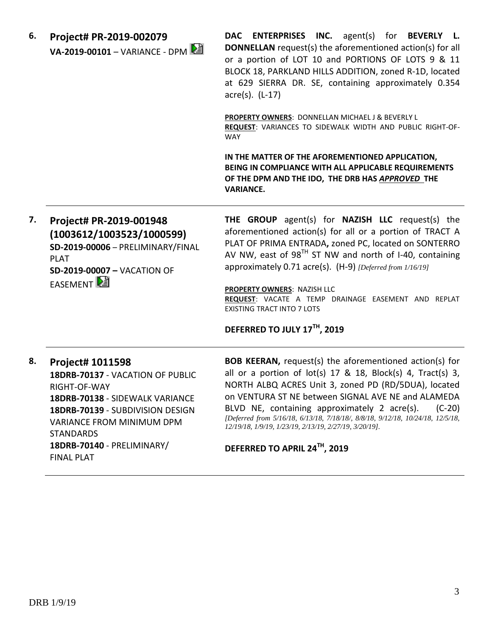| PROPERTY OWNERS: DONNELLAN MICHAEL J & BEVERLY L<br>REQUEST: VARIANCES TO SIDEWALK WIDTH AND PUBLIC RIGHT-OF-<br><b>WAY</b><br>IN THE MATTER OF THE AFOREMENTIONED APPLICATION,<br>BEING IN COMPLIANCE WITH ALL APPLICABLE REQUIREMENTS<br>OF THE DPM AND THE IDO, THE DRB HAS APPROVED THE<br><b>VARIANCE.</b>                                                                                                                                                                         |
|-----------------------------------------------------------------------------------------------------------------------------------------------------------------------------------------------------------------------------------------------------------------------------------------------------------------------------------------------------------------------------------------------------------------------------------------------------------------------------------------|
|                                                                                                                                                                                                                                                                                                                                                                                                                                                                                         |
|                                                                                                                                                                                                                                                                                                                                                                                                                                                                                         |
| <b>THE GROUP</b> agent(s) for <b>NAZISH LLC</b> request(s) the<br>aforementioned action(s) for all or a portion of TRACT A<br>PLAT OF PRIMA ENTRADA, zoned PC, located on SONTERRO<br>AV NW, east of 98 <sup>TH</sup> ST NW and north of I-40, containing<br>approximately 0.71 acre(s). (H-9) [Deferred from 1/16/19]<br><b>PROPERTY OWNERS: NAZISH LLC</b><br>REQUEST: VACATE A TEMP DRAINAGE EASEMENT AND REPLAT<br><b>EXISTING TRACT INTO 7 LOTS</b><br>DEFERRED TO JULY 17TH, 2019 |
| <b>BOB KEERAN, request(s) the aforementioned action(s) for</b><br>all or a portion of lot(s) 17 & 18, Block(s) 4, Tract(s) 3,<br>NORTH ALBQ ACRES Unit 3, zoned PD (RD/5DUA), located<br>on VENTURA ST NE between SIGNAL AVE NE and ALAMEDA<br>$(C-20)$<br>BLVD NE, containing approximately 2 acre(s).<br>[Deferred from 5/16/18, 6/13/18, 7/18/18/, 8/8/18, 9/12/18, 10/24/18, 12/5/18,<br>12/19/18, 1/9/19, 1/23/19, 2/13/19, 2/27/19, 3/20/19].                                     |
|                                                                                                                                                                                                                                                                                                                                                                                                                                                                                         |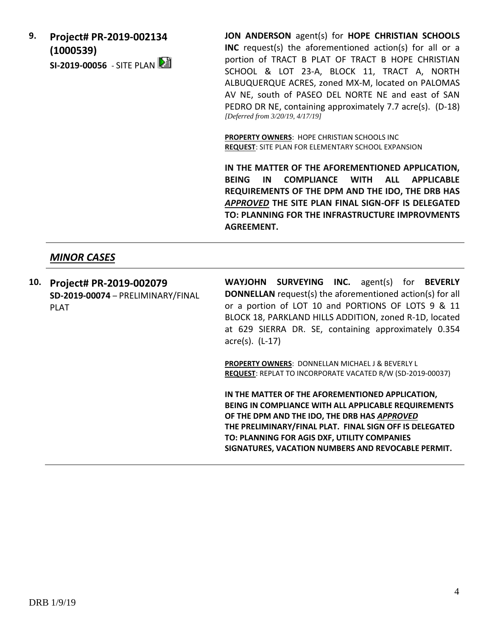**9. Project# PR-2019-002134 (1000539)**

**SI-2019-00056** - SITE PLAN

**JON ANDERSON** agent(s) for **HOPE CHRISTIAN SCHOOLS INC** request(s) the aforementioned action(s) for all or a portion of TRACT B PLAT OF TRACT B HOPE CHRISTIAN SCHOOL & LOT 23-A, BLOCK 11, TRACT A, NORTH ALBUQUERQUE ACRES, zoned MX-M, located on PALOMAS AV NE, south of PASEO DEL NORTE NE and east of SAN PEDRO DR NE, containing approximately 7.7 acre(s). (D-18) *[Deferred from 3/20/19, 4/17/19]*

**PROPERTY OWNERS**: HOPE CHRISTIAN SCHOOLS INC **REQUEST**: SITE PLAN FOR ELEMENTARY SCHOOL EXPANSION

**IN THE MATTER OF THE AFOREMENTIONED APPLICATION, BEING IN COMPLIANCE WITH ALL APPLICABLE REQUIREMENTS OF THE DPM AND THE IDO, THE DRB HAS**  *APPROVED* **THE SITE PLAN FINAL SIGN-OFF IS DELEGATED TO: PLANNING FOR THE INFRASTRUCTURE IMPROVMENTS AGREEMENT.** 

## *MINOR CASES*

**10. Project# PR-2019-002079 SD-2019-00074** – PRELIMINARY/FINAL PLAT

**WAYJOHN SURVEYING INC.** agent(s) for **BEVERLY DONNELLAN** request(s) the aforementioned action(s) for all or a portion of LOT 10 and PORTIONS OF LOTS 9 & 11 BLOCK 18, PARKLAND HILLS ADDITION, zoned R-1D, located at 629 SIERRA DR. SE, containing approximately 0.354 acre(s). (L-17)

**PROPERTY OWNERS**: DONNELLAN MICHAEL J & BEVERLY L **REQUEST**: REPLAT TO INCORPORATE VACATED R/W (SD-2019-00037)

**IN THE MATTER OF THE AFOREMENTIONED APPLICATION, BEING IN COMPLIANCE WITH ALL APPLICABLE REQUIREMENTS OF THE DPM AND THE IDO, THE DRB HAS** *APPROVED* **THE PRELIMINARY/FINAL PLAT. FINAL SIGN OFF IS DELEGATED TO: PLANNING FOR AGIS DXF, UTILITY COMPANIES SIGNATURES, VACATION NUMBERS AND REVOCABLE PERMIT.**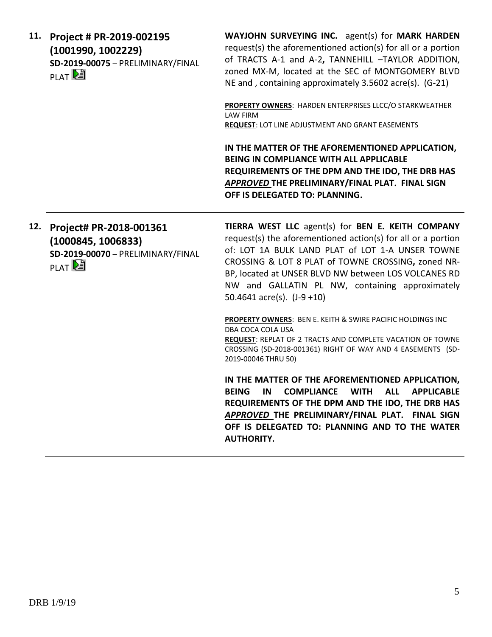| 11. | Project # PR-2019-002195<br>(1001990, 1002229)<br>SD-2019-00075 - PRELIMINARY/FINAL<br>PLAT <sup>D</sup> | WAYJOHN SURVEYING INC. agent(s) for MARK HARDEN<br>request(s) the aforementioned action(s) for all or a portion<br>of TRACTS A-1 and A-2, TANNEHILL -TAYLOR ADDITION,<br>zoned MX-M, located at the SEC of MONTGOMERY BLVD<br>NE and, containing approximately 3.5602 acre(s). (G-21)                                                                                    |
|-----|----------------------------------------------------------------------------------------------------------|--------------------------------------------------------------------------------------------------------------------------------------------------------------------------------------------------------------------------------------------------------------------------------------------------------------------------------------------------------------------------|
|     |                                                                                                          | PROPERTY OWNERS: HARDEN ENTERPRISES LLCC/O STARKWEATHER<br><b>LAW FIRM</b><br><b>REQUEST: LOT LINE ADJUSTMENT AND GRANT EASEMENTS</b>                                                                                                                                                                                                                                    |
|     |                                                                                                          | IN THE MATTER OF THE AFOREMENTIONED APPLICATION,<br><b>BEING IN COMPLIANCE WITH ALL APPLICABLE</b><br>REQUIREMENTS OF THE DPM AND THE IDO, THE DRB HAS<br>APPROVED THE PRELIMINARY/FINAL PLAT. FINAL SIGN<br>OFF IS DELEGATED TO: PLANNING.                                                                                                                              |
| 12. | Project# PR-2018-001361<br>(1000845, 1006833)<br>SD-2019-00070 - PRELIMINARY/FINAL<br>PLAT <sup>D</sup>  | TIERRA WEST LLC agent(s) for BEN E. KEITH COMPANY<br>request(s) the aforementioned action(s) for all or a portion<br>of: LOT 1A BULK LAND PLAT of LOT 1-A UNSER TOWNE<br>CROSSING & LOT 8 PLAT of TOWNE CROSSING, zoned NR-<br>BP, located at UNSER BLVD NW between LOS VOLCANES RD<br>NW and GALLATIN PL NW, containing approximately<br>50.4641 $\arccos $ . (J-9 +10) |
|     |                                                                                                          | <b>PROPERTY OWNERS: BEN E. KEITH &amp; SWIRE PACIFIC HOLDINGS INC</b><br>DBA COCA COLA USA<br>REQUEST: REPLAT OF 2 TRACTS AND COMPLETE VACATION OF TOWNE<br>CROSSING (SD-2018-001361) RIGHT OF WAY AND 4 EASEMENTS (SD-<br>2019-00046 THRU 50)                                                                                                                           |
|     |                                                                                                          | IN THE MATTER OF THE AFOREMENTIONED APPLICATION,                                                                                                                                                                                                                                                                                                                         |

**BEING IN COMPLIANCE WITH ALL APPLICABLE REQUIREMENTS OF THE DPM AND THE IDO, THE DRB HAS**  *APPROVED* **THE PRELIMINARY/FINAL PLAT. FINAL SIGN OFF IS DELEGATED TO: PLANNING AND TO THE WATER AUTHORITY.**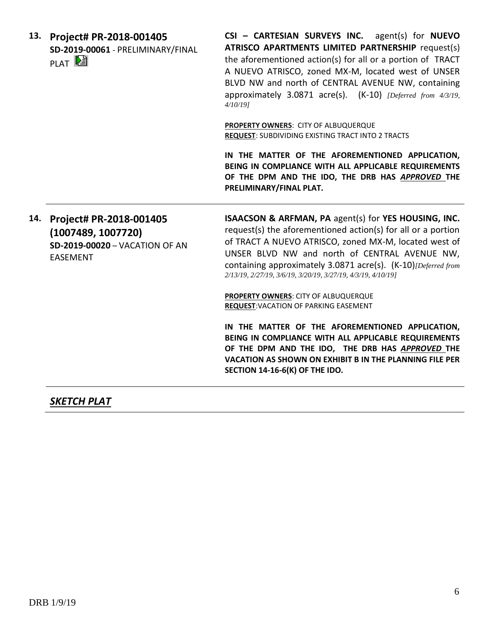**13. Project# PR-2018-001405 SD-2019-00061** - PRELIMINARY/FINAL **PLAT** 

**CSI – CARTESIAN SURVEYS INC.** agent(s) for **NUEVO ATRISCO APARTMENTS LIMITED PARTNERSHIP** request(s) the aforementioned action(s) for all or a portion of TRACT A NUEVO ATRISCO, zoned MX-M, located west of UNSER BLVD NW and north of CENTRAL AVENUE NW, containing approximately 3.0871 acre(s). (K-10) *[Deferred from 4/3/19, 4/10/19]*

**PROPERTY OWNERS**: CITY OF ALBUQUERQUE **REQUEST**: SUBDIVIDING EXISTING TRACT INTO 2 TRACTS

**IN THE MATTER OF THE AFOREMENTIONED APPLICATION, BEING IN COMPLIANCE WITH ALL APPLICABLE REQUIREMENTS OF THE DPM AND THE IDO, THE DRB HAS** *APPROVED* **THE PRELIMINARY/FINAL PLAT.** 

**14. Project# PR-2018-001405 (1007489, 1007720) SD-2019-00020** – VACATION OF AN EASEMENT

**ISAACSON & ARFMAN, PA** agent(s) for **YES HOUSING, INC.** request(s) the aforementioned action(s) for all or a portion of TRACT A NUEVO ATRISCO, zoned MX-M, located west of UNSER BLVD NW and north of CENTRAL AVENUE NW, containing approximately 3.0871 acre(s). (K-10)*[Deferred from 2/13/19, 2/27/19, 3/6/19, 3/20/19, 3/27/19, 4/3/19, 4/10/19]*

**PROPERTY OWNERS**: CITY OF ALBUQUERQUE **REQUEST**:VACATION OF PARKING EASEMENT

**IN THE MATTER OF THE AFOREMENTIONED APPLICATION, BEING IN COMPLIANCE WITH ALL APPLICABLE REQUIREMENTS OF THE DPM AND THE IDO, THE DRB HAS** *APPROVED* **THE VACATION AS SHOWN ON EXHIBIT B IN THE PLANNING FILE PER SECTION 14-16-6(K) OF THE IDO.**

## *SKETCH PLAT*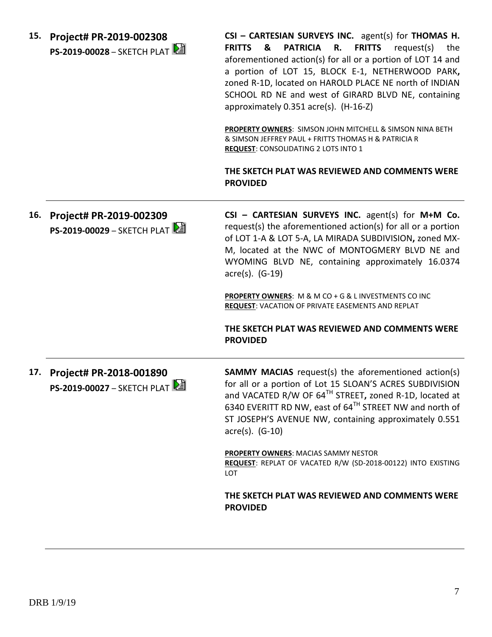**15. Project# PR-2019-002308 PS-2019-00028** – SKETCH PLAT **CSI – CARTESIAN SURVEYS INC.** agent(s) for **THOMAS H. FRITTS & PATRICIA R. FRITTS** request(s) the aforementioned action(s) for all or a portion of LOT 14 and a portion of LOT 15, BLOCK E-1, NETHERWOOD PARK**,**  zoned R-1D, located on HAROLD PLACE NE north of INDIAN SCHOOL RD NE and west of GIRARD BLVD NE, containing approximately 0.351 acre(s). (H-16-Z)

**PROPERTY OWNERS**: SIMSON JOHN MITCHELL & SIMSON NINA BETH & SIMSON JEFFREY PAUL + FRITTS THOMAS H & PATRICIA R **REQUEST**: CONSOLIDATING 2 LOTS INTO 1

**THE SKETCH PLAT WAS REVIEWED AND COMMENTS WERE PROVIDED**

**16. Project# PR-2019-002309 PS-2019-00029** – SKETCH PLAT **CSI – CARTESIAN SURVEYS INC.** agent(s) for **M+M Co.** request(s) the aforementioned action(s) for all or a portion of LOT 1-A & LOT 5-A, LA MIRADA SUBDIVISION**,** zoned MX-M, located at the NWC of MONTOGMERY BLVD NE and WYOMING BLVD NE, containing approximately 16.0374 acre(s). (G-19) **PROPERTY OWNERS**: M & M CO + G & L INVESTMENTS CO INC **REQUEST**: VACATION OF PRIVATE EASEMENTS AND REPLAT **THE SKETCH PLAT WAS REVIEWED AND COMMENTS WERE PROVIDED 17. Project# PR-2018-001890 PS-2019-00027 – SKETCH PLAT SAMMY MACIAS** request(s) the aforementioned action(s) for all or a portion of Lot 15 SLOAN'S ACRES SUBDIVISION and VACATED R/W OF 64TH STREET**,** zoned R-1D, located at 6340 EVERITT RD NW, east of 64TH STREET NW and north of ST JOSEPH'S AVENUE NW, containing approximately 0.551 acre(s). (G-10) **PROPERTY OWNERS**: MACIAS SAMMY NESTOR **REQUEST**: REPLAT OF VACATED R/W (SD-2018-00122) INTO EXISTING LOT **THE SKETCH PLAT WAS REVIEWED AND COMMENTS WERE PROVIDED**